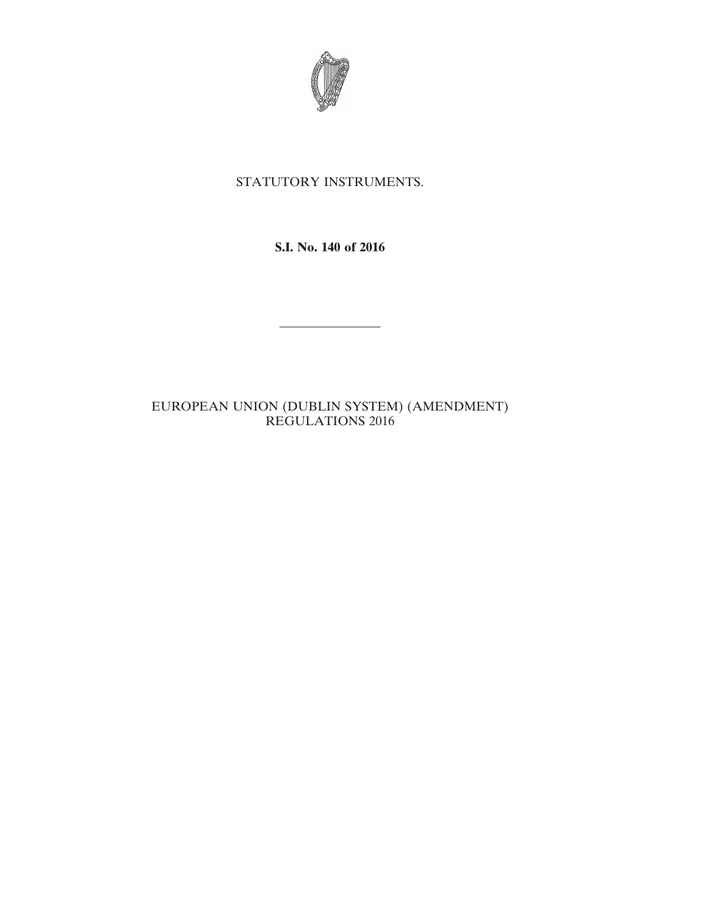

# STATUTORY INSTRUMENTS.

**S.I. No. 140 of 2016**

————————

# EUROPEAN UNION (DUBLIN SYSTEM) (AMENDMENT) REGULATIONS 2016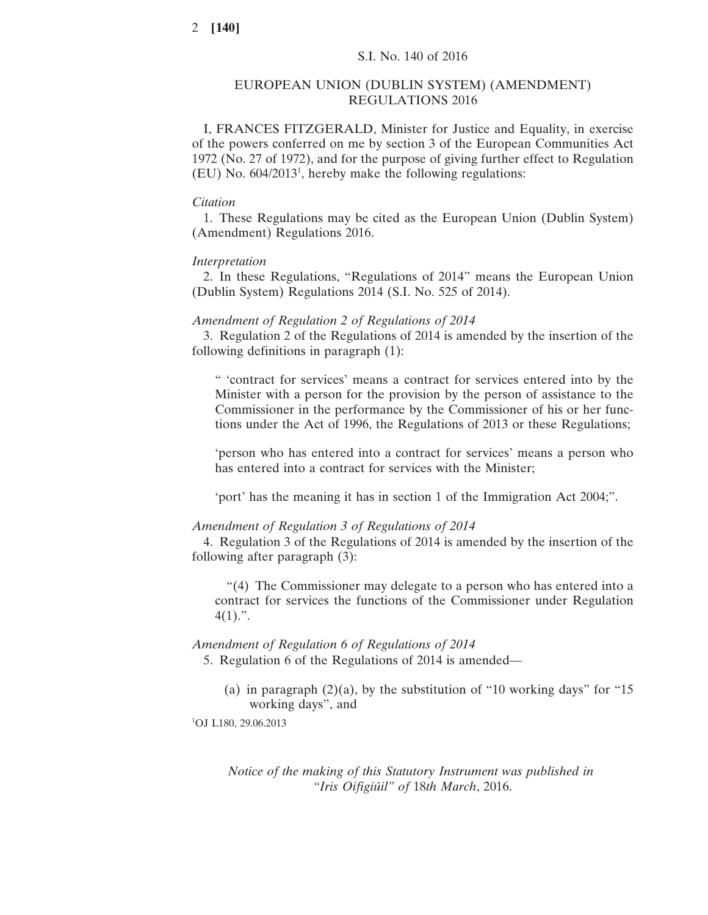### EUROPEAN UNION (DUBLIN SYSTEM) (AMENDMENT) REGULATIONS 2016

I, FRANCES FITZGERALD, Minister for Justice and Equality, in exercise of the powers conferred on me by section 3 of the European Communities Act 1972 (No. 27 of 1972), and for the purpose of giving further effect to Regulation  $(EU)$  No. 604/2013<sup>1</sup>, hereby make the following regulations:

#### *Citation*

1. These Regulations may be cited as the European Union (Dublin System) (Amendment) Regulations 2016.

## *Interpretation*

2. In these Regulations, "Regulations of 2014" means the European Union (Dublin System) Regulations 2014 (S.I. No. 525 of 2014).

#### *Amendment of Regulation 2 of Regulations of 2014*

3. Regulation 2 of the Regulations of 2014 is amended by the insertion of the following definitions in paragraph (1):

" 'contract for services' means a contract for services entered into by the Minister with a person for the provision by the person of assistance to the Commissioner in the performance by the Commissioner of his or her functions under the Act of 1996, the Regulations of 2013 or these Regulations;

'person who has entered into a contract for services' means a person who has entered into a contract for services with the Minister;

'port' has the meaning it has in section 1 of the Immigration Act 2004;".

#### *Amendment of Regulation 3 of Regulations of 2014*

4. Regulation 3 of the Regulations of 2014 is amended by the insertion of the following after paragraph (3):

"(4) The Commissioner may delegate to a person who has entered into a contract for services the functions of the Commissioner under Regulation  $4(1).$ ".

#### *Amendment of Regulation 6 of Regulations of 2014*

5. Regulation 6 of the Regulations of 2014 is amended—

(a) in paragraph  $(2)(a)$ , by the substitution of "10 working days" for "15 working days", and

<sup>1</sup>OJ L180, 29.06.2013

*Notice of the making of this Statutory Instrument was published in "Iris Oifigiúil" of* 18*th March*, 2016.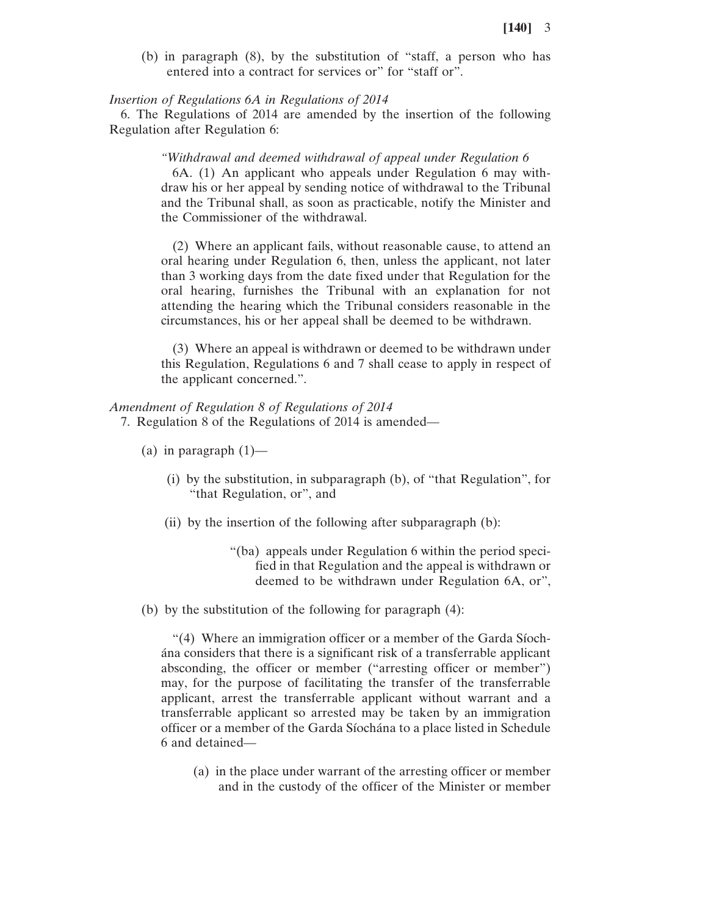(b) in paragraph (8), by the substitution of "staff, a person who has entered into a contract for services or" for "staff or".

#### *Insertion of Regulations 6A in Regulations of 2014*

6. The Regulations of 2014 are amended by the insertion of the following Regulation after Regulation 6:

#### *"Withdrawal and deemed withdrawal of appeal under Regulation 6*

6A. (1) An applicant who appeals under Regulation 6 may withdraw his or her appeal by sending notice of withdrawal to the Tribunal and the Tribunal shall, as soon as practicable, notify the Minister and the Commissioner of the withdrawal.

(2) Where an applicant fails, without reasonable cause, to attend an oral hearing under Regulation 6, then, unless the applicant, not later than 3 working days from the date fixed under that Regulation for the oral hearing, furnishes the Tribunal with an explanation for not attending the hearing which the Tribunal considers reasonable in the circumstances, his or her appeal shall be deemed to be withdrawn.

(3) Where an appeal is withdrawn or deemed to be withdrawn under this Regulation, Regulations 6 and 7 shall cease to apply in respect of the applicant concerned.".

#### *Amendment of Regulation 8 of Regulations of 2014*

7. Regulation 8 of the Regulations of 2014 is amended—

- (a) in paragraph  $(1)$ 
	- (i) by the substitution, in subparagraph (b), of "that Regulation", for "that Regulation, or", and
	- (ii) by the insertion of the following after subparagraph (b):
		- "(ba) appeals under Regulation 6 within the period specified in that Regulation and the appeal is withdrawn or deemed to be withdrawn under Regulation 6A, or",

(b) by the substitution of the following for paragraph (4):

"(4) Where an immigration officer or a member of the Garda Síochána considers that there is a significant risk of a transferrable applicant absconding, the officer or member ("arresting officer or member") may, for the purpose of facilitating the transfer of the transferrable applicant, arrest the transferrable applicant without warrant and a transferrable applicant so arrested may be taken by an immigration officer or a member of the Garda Síochána to a place listed in Schedule 6 and detained—

(a) in the place under warrant of the arresting officer or member and in the custody of the officer of the Minister or member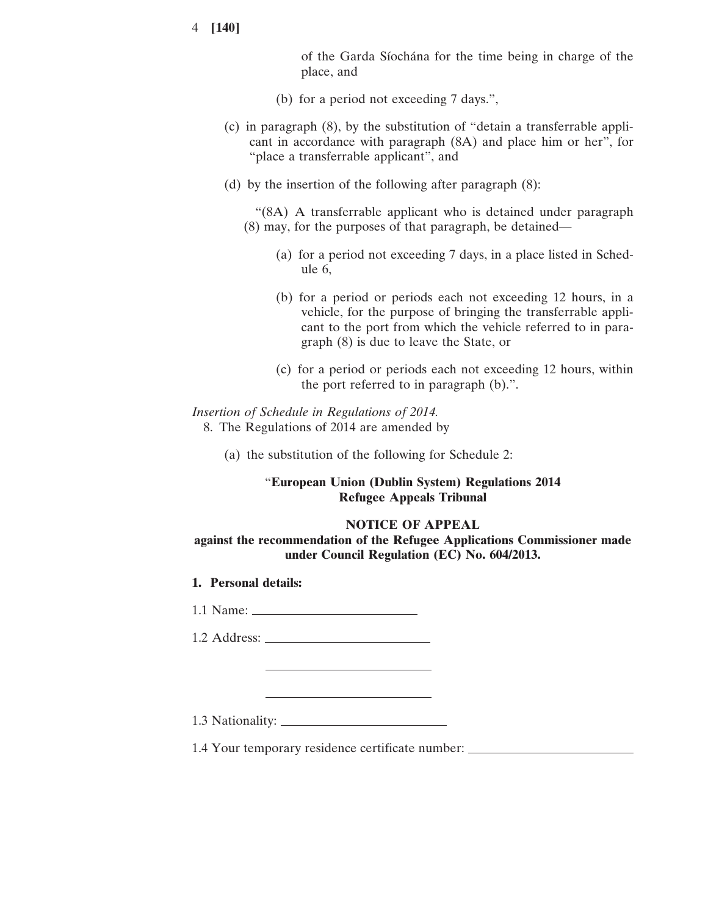of the Garda Síochána for the time being in charge of the place, and

- (b) for a period not exceeding 7 days.",
- (c) in paragraph (8), by the substitution of "detain a transferrable applicant in accordance with paragraph (8A) and place him or her", for "place a transferrable applicant", and
- (d) by the insertion of the following after paragraph (8):

"(8A) A transferrable applicant who is detained under paragraph (8) may, for the purposes of that paragraph, be detained—

- (a) for a period not exceeding 7 days, in a place listed in Schedule 6,
- (b) for a period or periods each not exceeding 12 hours, in a vehicle, for the purpose of bringing the transferrable applicant to the port from which the vehicle referred to in paragraph (8) is due to leave the State, or
- (c) for a period or periods each not exceeding 12 hours, within the port referred to in paragraph (b).".

### *Insertion of Schedule in Regulations of 2014.* 8. The Regulations of 2014 are amended by

(a) the substitution of the following for Schedule 2:

## "**European Union (Dublin System) Regulations 2014 Refugee Appeals Tribunal**

#### **NOTICE OF APPEAL**

**against the recommendation of the Refugee Applications Commissioner made under Council Regulation (EC) No. 604/2013.**

**1. Personal details:**

1.1 Name:

1.2 Address:

1.3 Nationality:

1.4 Your temporary residence certificate number: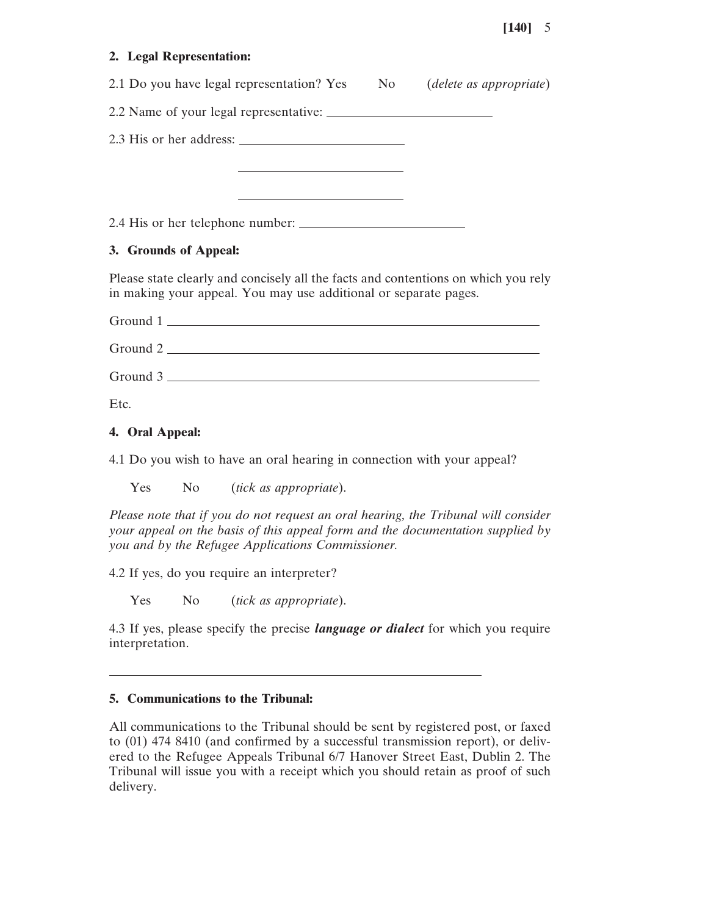## **2. Legal Representation:**

| 2.1 Do you have legal representation? Yes No (delete as appropriate)                                                                                   |  |
|--------------------------------------------------------------------------------------------------------------------------------------------------------|--|
|                                                                                                                                                        |  |
|                                                                                                                                                        |  |
| <u> 1989 - John Stone, Amerikaansk politiker (</u>                                                                                                     |  |
| <u> Alexandria de la contrada de la contrada de la contrada de la contrada de la contrada de la contrada de la c</u>                                   |  |
| 2.4 His or her telephone number:                                                                                                                       |  |
| 3. Grounds of Appeal:                                                                                                                                  |  |
| Please state clearly and concisely all the facts and contentions on which you rely<br>in making your appeal. You may use additional or separate pages. |  |
| $Ground 1$ $\_\_\_\_\_\_\_\_$                                                                                                                          |  |
| $Ground 2$ $\qquad \qquad \qquad \qquad$                                                                                                               |  |
| $Ground 3$ $\_\_$                                                                                                                                      |  |

Etc.

#### **4. Oral Appeal:**

4.1 Do you wish to have an oral hearing in connection with your appeal?

Yes No (*tick as appropriate*).

*Please note that if you do not request an oral hearing, the Tribunal will consider your appeal on the basis of this appeal form and the documentation supplied by you and by the Refugee Applications Commissioner.*

4.2 If yes, do you require an interpreter?

Yes No (*tick as appropriate*).

4.3 If yes, please specify the precise *language or dialect* for which you require interpretation.

### **5. Communications to the Tribunal:**

All communications to the Tribunal should be sent by registered post, or faxed to (01) 474 8410 (and confirmed by a successful transmission report), or delivered to the Refugee Appeals Tribunal 6/7 Hanover Street East, Dublin 2. The Tribunal will issue you with a receipt which you should retain as proof of such delivery.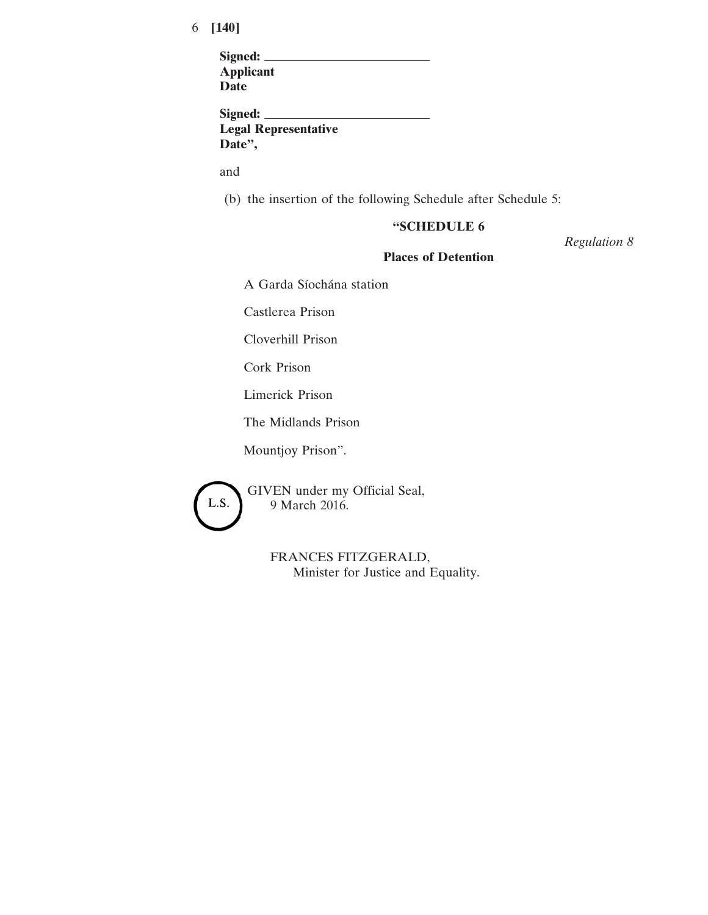| Signed:                     |  |
|-----------------------------|--|
| <b>Applicant</b>            |  |
| Date                        |  |
|                             |  |
| Signed:                     |  |
| <b>Legal Representative</b> |  |

**Date",**

and

(b) the insertion of the following Schedule after Schedule 5:

## **"SCHEDULE 6**

*Regulation 8*

## **Places of Detention**

A Garda Síochána station

Castlerea Prison

Cloverhill Prison

Cork Prison

Limerick Prison

The Midlands Prison

Mountjoy Prison".



GIVEN under my Official Seal, 9 March 2016.

> FRANCES FITZGERALD, Minister for Justice and Equality.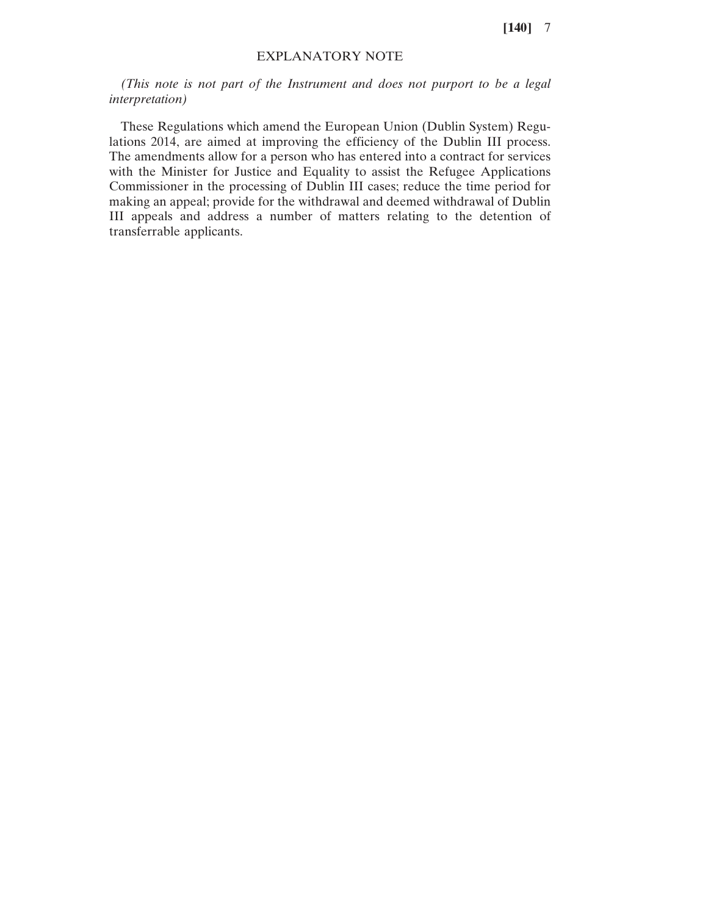## EXPLANATORY NOTE

*(This note is not part of the Instrument and does not purport to be a legal interpretation)*

These Regulations which amend the European Union (Dublin System) Regulations 2014, are aimed at improving the efficiency of the Dublin III process. The amendments allow for a person who has entered into a contract for services with the Minister for Justice and Equality to assist the Refugee Applications Commissioner in the processing of Dublin III cases; reduce the time period for making an appeal; provide for the withdrawal and deemed withdrawal of Dublin III appeals and address a number of matters relating to the detention of transferrable applicants.